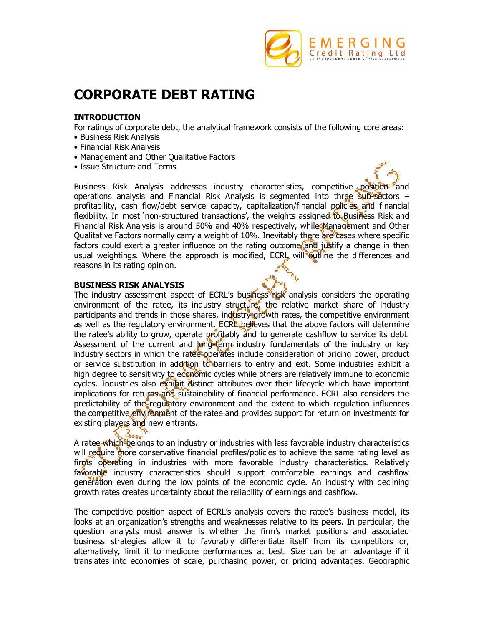

# **CORPORATE DEBT RATING**

## **INTRODUCTION**

For ratings of corporate debt, the analytical framework consists of the following core areas:

- Business Risk Analysis
- Financial Risk Analysis
- Management and Other Qualitative Factors
- Issue Structure and Terms

Business Risk Analysis addresses industry characteristics, competitive position and operations analysis and Financial Risk Analysis is segmented into three sub-sectors – profitability, cash flow/debt service capacity, capitalization/financial policies and financial flexibility. In most 'non-structured transactions', the weights assigned to Business Risk and Financial Risk Analysis is around 50% and 40% respectively, while Management and Other Qualitative Factors normally carry a weight of 10%. Inevitably there are cases where specific factors could exert a greater influence on the rating outcome and justify a change in then usual weightings. Where the approach is modified, ECRL will outline the differences and reasons in its rating opinion.

#### **BUSINESS RISK ANALYSIS**

The industry assessment aspect of ECRL's business risk analysis considers the operating environment of the ratee, its industry structure, the relative market share of industry participants and trends in those shares, industry growth rates, the competitive environment as well as the regulatory environment. ECRL believes that the above factors will determine the ratee's ability to grow, operate profitably and to generate cashflow to service its debt. Assessment of the current and long-term industry fundamentals of the industry or key industry sectors in which the ratee operates include consideration of pricing power, product or service substitution in addition to barriers to entry and exit. Some industries exhibit a high degree to sensitivity to economic cycles while others are relatively immune to economic cycles. Industries also exhibit distinct attributes over their lifecycle which have important implications for returns and sustainability of financial performance. ECRL also considers the predictability of the regulatory environment and the extent to which regulation influences the competitive environment of the ratee and provides support for return on investments for existing players and new entrants.

A ratee which belongs to an industry or industries with less favorable industry characteristics will require more conservative financial profiles/policies to achieve the same rating level as firms operating in industries with more favorable industry characteristics. Relatively favorable industry characteristics should support comfortable earnings and cashflow generation even during the low points of the economic cycle. An industry with declining growth rates creates uncertainty about the reliability of earnings and cashflow.

The competitive position aspect of ECRL's analysis covers the ratee's business model, its looks at an organization's strengths and weaknesses relative to its peers. In particular, the question analysts must answer is whether the firm's market positions and associated business strategies allow it to favorably differentiate itself from its competitors or, alternatively, limit it to mediocre performances at best. Size can be an advantage if it translates into economies of scale, purchasing power, or pricing advantages. Geographic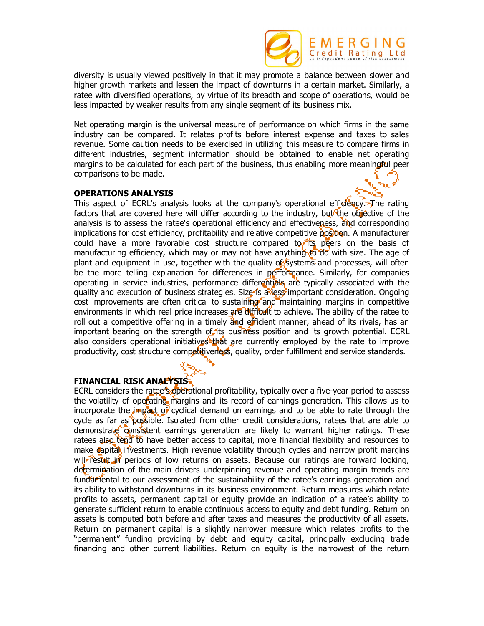

diversity is usually viewed positively in that it may promote a balance between slower and higher growth markets and lessen the impact of downturns in a certain market. Similarly, a ratee with diversified operations, by virtue of its breadth and scope of operations, would be less impacted by weaker results from any single segment of its business mix.

Net operating margin is the universal measure of performance on which firms in the same industry can be compared. It relates profits before interest expense and taxes to sales revenue. Some caution needs to be exercised in utilizing this measure to compare firms in different industries, segment information should be obtained to enable net operating margins to be calculated for each part of the business, thus enabling more meaningful peer comparisons to be made.

#### **OPERATIONS ANALYSIS**

This aspect of ECRL's analysis looks at the company's operational efficiency. The rating factors that are covered here will differ according to the industry, but the objective of the analysis is to assess the ratee's operational efficiency and effectiveness, and corresponding implications for cost efficiency, profitability and relative competitive position. A manufacturer could have a more favorable cost structure compared to its peers on the basis of manufacturing efficiency, which may or may not have anything to do with size. The age of plant and equipment in use, together with the quality of systems and processes, will often be the more telling explanation for differences in performance. Similarly, for companies operating in service industries, performance differentials are typically associated with the quality and execution of business strategies. Size is a less important consideration. Ongoing cost improvements are often critical to sustaining and maintaining margins in competitive environments in which real price increases are difficult to achieve. The ability of the ratee to roll out a competitive offering in a timely and efficient manner, ahead of its rivals, has an important bearing on the strength of its business position and its growth potential. ECRL also considers operational initiatives that are currently employed by the rate to improve productivity, cost structure competitiveness, quality, order fulfillment and service standards.

#### **FINANCIAL RISK ANALYSIS**

ECRL considers the ratee's operational profitability, typically over a five-year period to assess the volatility of operating margins and its record of earnings generation. This allows us to incorporate the impact of cyclical demand on earnings and to be able to rate through the cycle as far as possible. Isolated from other credit considerations, ratees that are able to demonstrate consistent earnings generation are likely to warrant higher ratings. These ratees also tend to have better access to capital, more financial flexibility and resources to make capital investments. High revenue volatility through cycles and narrow profit margins will result in periods of low returns on assets. Because our ratings are forward looking, determination of the main drivers underpinning revenue and operating margin trends are fundamental to our assessment of the sustainability of the ratee's earnings generation and its ability to withstand downturns in its business environment. Return measures which relate profits to assets, permanent capital or equity provide an indication of a ratee's ability to generate sufficient return to enable continuous access to equity and debt funding. Return on assets is computed both before and after taxes and measures the productivity of all assets. Return on permanent capital is a slightly narrower measure which relates profits to the "permanent" funding providing by debt and equity capital, principally excluding trade financing and other current liabilities. Return on equity is the narrowest of the return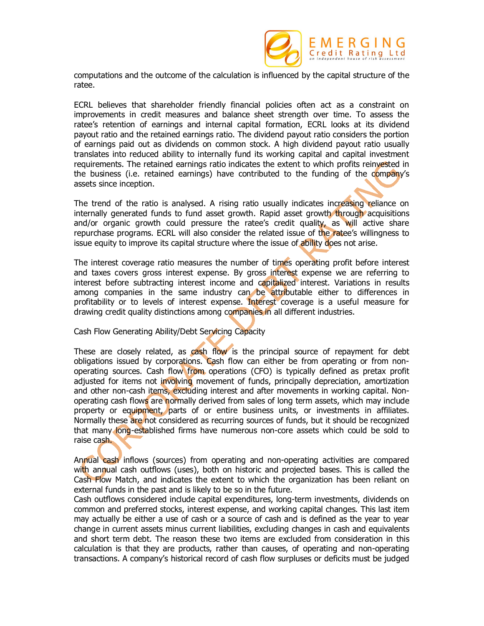

computations and the outcome of the calculation is influenced by the capital structure of the ratee.

ECRL believes that shareholder friendly financial policies often act as a constraint on improvements in credit measures and balance sheet strength over time. To assess the ratee's retention of earnings and internal capital formation, ECRL looks at its dividend payout ratio and the retained earnings ratio. The dividend payout ratio considers the portion of earnings paid out as dividends on common stock. A high dividend payout ratio usually translates into reduced ability to internally fund its working capital and capital investment requirements. The retained earnings ratio indicates the extent to which profits reinvested in the business (i.e. retained earnings) have contributed to the funding of the company's assets since inception.

The trend of the ratio is analysed. A rising ratio usually indicates increasing reliance on internally generated funds to fund asset growth. Rapid asset growth through acquisitions and/or organic growth could pressure the ratee's credit quality, as will active share repurchase programs. ECRL will also consider the related issue of the ratee's willingness to issue equity to improve its capital structure where the issue of ability does not arise.

The interest coverage ratio measures the number of times operating profit before interest and taxes covers gross interest expense. By gross interest expense we are referring to interest before subtracting interest income and capitalized interest. Variations in results among companies in the same industry can be attributable either to differences in profitability or to levels of interest expense. Interest coverage is a useful measure for drawing credit quality distinctions among companies in all different industries.

#### Cash Flow Generating Ability/Debt Servicing Capacity

These are closely related, as cash flow is the principal source of repayment for debt obligations issued by corporations. Cash flow can either be from operating or from nonoperating sources. Cash flow from operations (CFO) is typically defined as pretax profit adjusted for items not involving movement of funds, principally depreciation, amortization and other non-cash items, excluding interest and after movements in working capital. Nonoperating cash flows are normally derived from sales of long term assets, which may include property or equipment, parts of or entire business units, or investments in affiliates. Normally these are not considered as recurring sources of funds, but it should be recognized that many long-established firms have numerous non-core assets which could be sold to raise cash.

Annual cash inflows (sources) from operating and non-operating activities are compared with annual cash outflows (uses), both on historic and projected bases. This is called the Cash Flow Match, and indicates the extent to which the organization has been reliant on external funds in the past and is likely to be so in the future.

Cash outflows considered include capital expenditures, long-term investments, dividends on common and preferred stocks, interest expense, and working capital changes. This last item may actually be either a use of cash or a source of cash and is defined as the year to year change in current assets minus current liabilities, excluding changes in cash and equivalents and short term debt. The reason these two items are excluded from consideration in this calculation is that they are products, rather than causes, of operating and non-operating transactions. A company's historical record of cash flow surpluses or deficits must be judged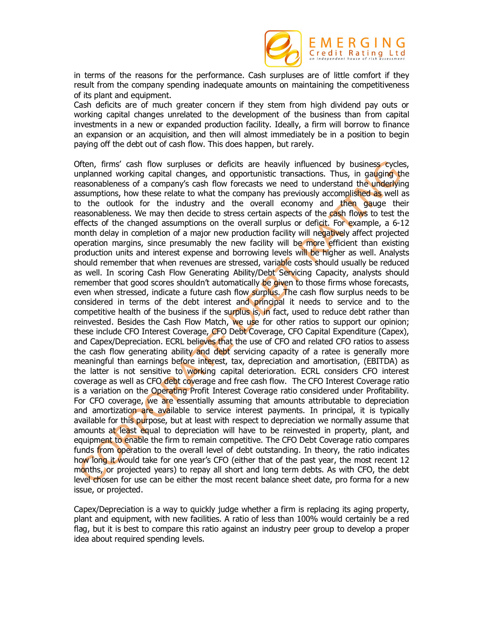

in terms of the reasons for the performance. Cash surpluses are of little comfort if they result from the company spending inadequate amounts on maintaining the competitiveness of its plant and equipment.

Cash deficits are of much greater concern if they stem from high dividend pay outs or working capital changes unrelated to the development of the business than from capital investments in a new or expanded production facility. Ideally, a firm will borrow to finance an expansion or an acquisition, and then will almost immediately be in a position to begin paying off the debt out of cash flow. This does happen, but rarely.

Often, firms' cash flow surpluses or deficits are heavily influenced by business cycles, unplanned working capital changes, and opportunistic transactions. Thus, in gauging the reasonableness of a company's cash flow forecasts we need to understand the underlying assumptions, how these relate to what the company has previously accomplished as well as to the outlook for the industry and the overall economy and then gauge their reasonableness. We may then decide to stress certain aspects of the cash flows to test the effects of the changed assumptions on the overall surplus or deficit. For example, a 6-12 month delay in completion of a major new production facility will negatively affect projected operation margins, since presumably the new facility will be more efficient than existing production units and interest expense and borrowing levels will be higher as well. Analysts should remember that when revenues are stressed, variable costs should usually be reduced as well. In scoring Cash Flow Generating Ability/Debt Servicing Capacity, analysts should remember that good scores shouldn't automatically be given to those firms whose forecasts, even when stressed, indicate a future cash flow surplus. The cash flow surplus needs to be considered in terms of the debt interest and principal it needs to service and to the competitive health of the business if the surplus is, in fact, used to reduce debt rather than reinvested. Besides the Cash Flow Match, we use for other ratios to support our opinion; these include CFO Interest Coverage, CFO Debt Coverage, CFO Capital Expenditure (Capex), and Capex/Depreciation. ECRL believes that the use of CFO and related CFO ratios to assess the cash flow generating ability and debt servicing capacity of a ratee is generally more meaningful than earnings before interest, tax, depreciation and amortisation, (EBITDA) as the latter is not sensitive to working capital deterioration. ECRL considers CFO interest coverage as well as CFO debt coverage and free cash flow. The CFO Interest Coverage ratio is a variation on the Operating Profit Interest Coverage ratio considered under Profitability. For CFO coverage, we are essentially assuming that amounts attributable to depreciation and amortization are available to service interest payments. In principal, it is typically available for this purpose, but at least with respect to depreciation we normally assume that amounts at least equal to depreciation will have to be reinvested in property, plant, and equipment to enable the firm to remain competitive. The CFO Debt Coverage ratio compares funds from operation to the overall level of debt outstanding. In theory, the ratio indicates how long it would take for one year's CFO (either that of the past year, the most recent 12 months, or projected years) to repay all short and long term debts. As with CFO, the debt level chosen for use can be either the most recent balance sheet date, pro forma for a new issue, or projected.

Capex/Depreciation is a way to quickly judge whether a firm is replacing its aging property, plant and equipment, with new facilities. A ratio of less than 100% would certainly be a red flag, but it is best to compare this ratio against an industry peer group to develop a proper idea about required spending levels.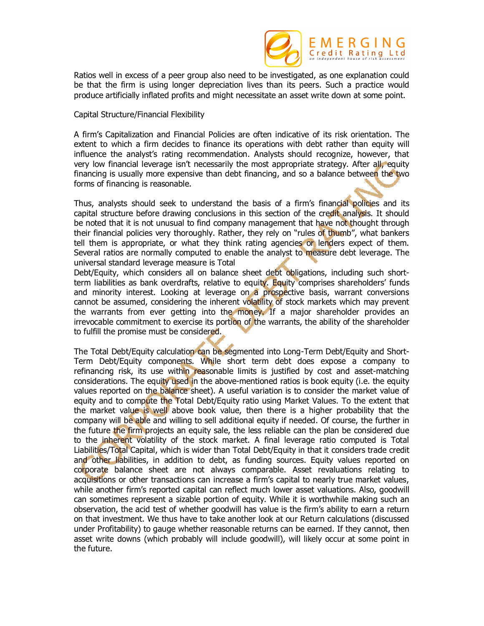

Ratios well in excess of a peer group also need to be investigated, as one explanation could be that the firm is using longer depreciation lives than its peers. Such a practice would produce artificially inflated profits and might necessitate an asset write down at some point.

Capital Structure/Financial Flexibility

A firm's Capitalization and Financial Policies are often indicative of its risk orientation. The extent to which a firm decides to finance its operations with debt rather than equity will influence the analyst's rating recommendation. Analysts should recognize, however, that very low financial leverage isn't necessarily the most appropriate strategy. After all, equity financing is usually more expensive than debt financing, and so a balance between the two forms of financing is reasonable.

Thus, analysts should seek to understand the basis of a firm's financial policies and its capital structure before drawing conclusions in this section of the credit analysis. It should be noted that it is not unusual to find company management that have not thought through their financial policies very thoroughly. Rather, they rely on "rules of thumb", what bankers tell them is appropriate, or what they think rating agencies or lenders expect of them. Several ratios are normally computed to enable the analyst to measure debt leverage. The universal standard leverage measure is Total

Debt/Equity, which considers all on balance sheet debt obligations, including such shortterm liabilities as bank overdrafts, relative to equity. Equity comprises shareholders' funds and minority interest. Looking at leverage on a prospective basis, warrant conversions cannot be assumed, considering the inherent volatility of stock markets which may prevent the warrants from ever getting into the money. If a major shareholder provides an irrevocable commitment to exercise its portion of the warrants, the ability of the shareholder to fulfill the promise must be considered.

The Total Debt/Equity calculation can be segmented into Long-Term Debt/Equity and Short-Term Debt/Equity components. While short term debt does expose a company to refinancing risk, its use within reasonable limits is justified by cost and asset-matching considerations. The equity used in the above-mentioned ratios is book equity (i.e. the equity values reported on the balance sheet). A useful variation is to consider the market value of equity and to compute the Total Debt/Equity ratio using Market Values. To the extent that the market value is well above book value, then there is a higher probability that the company will be able and willing to sell additional equity if needed. Of course, the further in the future the firm projects an equity sale, the less reliable can the plan be considered due to the inherent volatility of the stock market. A final leverage ratio computed is Total Liabilities/Total Capital, which is wider than Total Debt/Equity in that it considers trade credit and other liabilities, in addition to debt, as funding sources. Equity values reported on corporate balance sheet are not always comparable. Asset revaluations relating to acquisitions or other transactions can increase a firm's capital to nearly true market values, while another firm's reported capital can reflect much lower asset valuations. Also, goodwill can sometimes represent a sizable portion of equity. While it is worthwhile making such an observation, the acid test of whether goodwill has value is the firm's ability to earn a return on that investment. We thus have to take another look at our Return calculations (discussed under Profitability) to gauge whether reasonable returns can be earned. If they cannot, then asset write downs (which probably will include goodwill), will likely occur at some point in the future.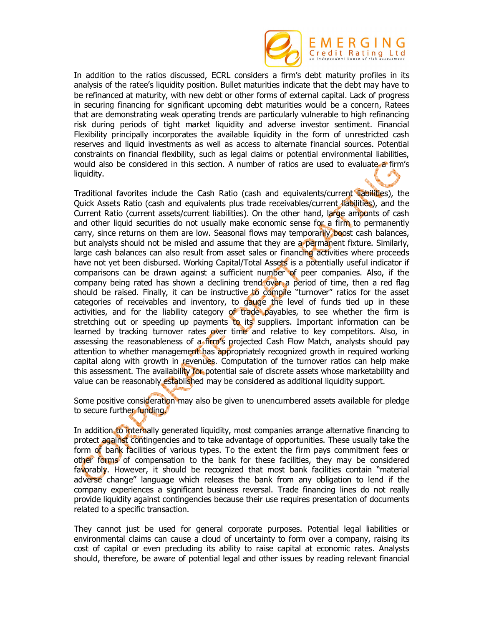

In addition to the ratios discussed, ECRL considers a firm's debt maturity profiles in its analysis of the ratee's liquidity position. Bullet maturities indicate that the debt may have to be refinanced at maturity, with new debt or other forms of external capital. Lack of progress in securing financing for significant upcoming debt maturities would be a concern, Ratees that are demonstrating weak operating trends are particularly vulnerable to high refinancing risk during periods of tight market liquidity and adverse investor sentiment. Financial Flexibility principally incorporates the available liquidity in the form of unrestricted cash reserves and liquid investments as well as access to alternate financial sources. Potential constraints on financial flexibility, such as legal claims or potential environmental liabilities, would also be considered in this section. A number of ratios are used to evaluate a firm's liquidity.

Traditional favorites include the Cash Ratio (cash and equivalents/current liabilities), the Quick Assets Ratio (cash and equivalents plus trade receivables/current liabilities), and the Current Ratio (current assets/current liabilities). On the other hand, large amounts of cash and other liquid securities do not usually make economic sense for a firm to permanently carry, since returns on them are low. Seasonal flows may temporarily boost cash balances, but analysts should not be misled and assume that they are a permanent fixture. Similarly, large cash balances can also result from asset sales or financing activities where proceeds have not yet been disbursed. Working Capital/Total Assets is a potentially useful indicator if comparisons can be drawn against a sufficient number of peer companies. Also, if the company being rated has shown a declining trend over a period of time, then a red flag should be raised. Finally, it can be instructive to compile "turnover" ratios for the asset categories of receivables and inventory, to gauge the level of funds tied up in these activities, and for the liability category of trade payables, to see whether the firm is stretching out or speeding up payments to its suppliers. Important information can be learned by tracking turnover rates over time and relative to key competitors. Also, in assessing the reasonableness of a firm's projected Cash Flow Match, analysts should pay attention to whether management has appropriately recognized growth in required working capital along with growth in revenues. Computation of the turnover ratios can help make this assessment. The availability for potential sale of discrete assets whose marketability and value can be reasonably established may be considered as additional liquidity support.

Some positive consideration may also be given to unencumbered assets available for pledge to secure further funding.

In addition to internally generated liquidity, most companies arrange alternative financing to protect against contingencies and to take advantage of opportunities. These usually take the form of bank facilities of various types. To the extent the firm pays commitment fees or other forms of compensation to the bank for these facilities, they may be considered favorably. However, it should be recognized that most bank facilities contain "material adverse change" language which releases the bank from any obligation to lend if the company experiences a significant business reversal. Trade financing lines do not really provide liquidity against contingencies because their use requires presentation of documents related to a specific transaction.

They cannot just be used for general corporate purposes. Potential legal liabilities or environmental claims can cause a cloud of uncertainty to form over a company, raising its cost of capital or even precluding its ability to raise capital at economic rates. Analysts should, therefore, be aware of potential legal and other issues by reading relevant financial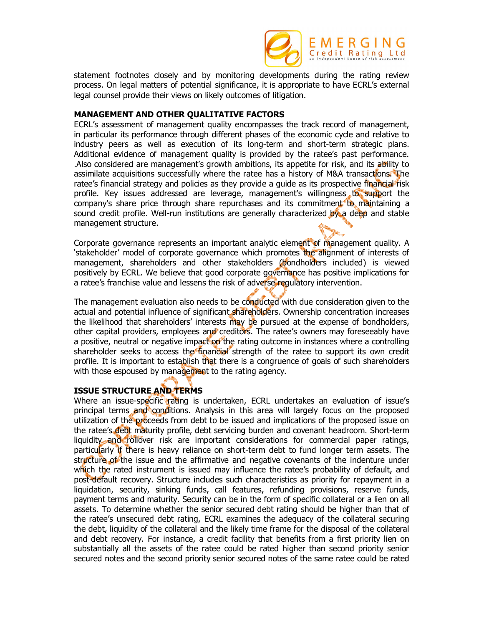

statement footnotes closely and by monitoring developments during the rating review process. On legal matters of potential significance, it is appropriate to have ECRL's external legal counsel provide their views on likely outcomes of litigation.

### **MANAGEMENT AND OTHER QUALITATIVE FACTORS**

ECRL's assessment of management quality encompasses the track record of management, in particular its performance through different phases of the economic cycle and relative to industry peers as well as execution of its long-term and short-term strategic plans. Additional evidence of management quality is provided by the ratee's past performance. .Also considered are management's growth ambitions, its appetite for risk, and its ability to assimilate acquisitions successfully where the ratee has a history of M&A transactions. The ratee's financial strategy and policies as they provide a guide as its prospective financial risk profile. Key issues addressed are leverage, management's willingness to support the company's share price through share repurchases and its commitment to maintaining a sound credit profile. Well-run institutions are generally characterized by a deep and stable management structure.

Corporate governance represents an important analytic element of management quality. A 'stakeholder' model of corporate governance which promotes the alignment of interests of management, shareholders and other stakeholders (bondholders included) is viewed positively by ECRL. We believe that good corporate governance has positive implications for a ratee's franchise value and lessens the risk of adverse regulatory intervention.

The management evaluation also needs to be conducted with due consideration given to the actual and potential influence of significant shareholders. Ownership concentration increases the likelihood that shareholders' interests may be pursued at the expense of bondholders, other capital providers, employees and creditors. The ratee's owners may foreseeably have a positive, neutral or negative impact on the rating outcome in instances where a controlling shareholder seeks to access the financial strength of the ratee to support its own credit profile. It is important to establish that there is a congruence of goals of such shareholders with those espoused by management to the rating agency.

# **ISSUE STRUCTURE AND TERMS**

Where an issue-specific rating is undertaken, ECRL undertakes an evaluation of issue's principal terms and conditions. Analysis in this area will largely focus on the proposed utilization of the proceeds from debt to be issued and implications of the proposed issue on the ratee's debt maturity profile, debt servicing burden and covenant headroom. Short-term liquidity and rollover risk are important considerations for commercial paper ratings, particularly if there is heavy reliance on short-term debt to fund longer term assets. The structure of the issue and the affirmative and negative covenants of the indenture under which the rated instrument is issued may influence the ratee's probability of default, and post-default recovery. Structure includes such characteristics as priority for repayment in a liquidation, security, sinking funds, call features, refunding provisions, reserve funds, payment terms and maturity. Security can be in the form of specific collateral or a lien on all assets. To determine whether the senior secured debt rating should be higher than that of the ratee's unsecured debt rating, ECRL examines the adequacy of the collateral securing the debt, liquidity of the collateral and the likely time frame for the disposal of the collateral and debt recovery. For instance, a credit facility that benefits from a first priority lien on substantially all the assets of the ratee could be rated higher than second priority senior secured notes and the second priority senior secured notes of the same ratee could be rated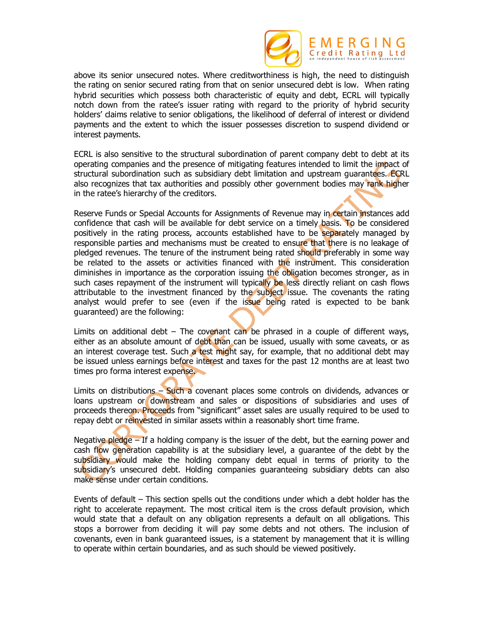

above its senior unsecured notes. Where creditworthiness is high, the need to distinguish the rating on senior secured rating from that on senior unsecured debt is low. When rating hybrid securities which possess both characteristic of equity and debt, ECRL will typically notch down from the ratee's issuer rating with regard to the priority of hybrid security holders' claims relative to senior obligations, the likelihood of deferral of interest or dividend payments and the extent to which the issuer possesses discretion to suspend dividend or interest payments.

ECRL is also sensitive to the structural subordination of parent company debt to debt at its operating companies and the presence of mitigating features intended to limit the impact of structural subordination such as subsidiary debt limitation and upstream guarantees. ECRL also recognizes that tax authorities and possibly other government bodies may rank higher in the ratee's hierarchy of the creditors.

Reserve Funds or Special Accounts for Assignments of Revenue may in certain instances add confidence that cash will be available for debt service on a timely basis. To be considered positively in the rating process, accounts established have to be separately managed by responsible parties and mechanisms must be created to ensure that there is no leakage of pledged revenues. The tenure of the instrument being rated should preferably in some way be related to the assets or activities financed with the instrument. This consideration diminishes in importance as the corporation issuing the obligation becomes stronger, as in such cases repayment of the instrument will typically be less directly reliant on cash flows attributable to the investment financed by the subject issue. The covenants the rating analyst would prefer to see (even if the issue being rated is expected to be bank guaranteed) are the following:

Limits on additional debt – The covenant can be phrased in a couple of different ways, either as an absolute amount of debt than can be issued, usually with some caveats, or as an interest coverage test. Such a test might say, for example, that no additional debt may be issued unless earnings before interest and taxes for the past 12 months are at least two times pro forma interest expense.

Limits on distributions – Such a covenant places some controls on dividends, advances or loans upstream or downstream and sales or dispositions of subsidiaries and uses of proceeds thereon. Proceeds from "significant" asset sales are usually required to be used to repay debt or reinvested in similar assets within a reasonably short time frame.

Negative pledge – If a holding company is the issuer of the debt, but the earning power and cash flow generation capability is at the subsidiary level, a guarantee of the debt by the subsidiary would make the holding company debt equal in terms of priority to the subsidiary's unsecured debt. Holding companies guaranteeing subsidiary debts can also make sense under certain conditions.

Events of default – This section spells out the conditions under which a debt holder has the right to accelerate repayment. The most critical item is the cross default provision, which would state that a default on any obligation represents a default on all obligations. This stops a borrower from deciding it will pay some debts and not others. The inclusion of covenants, even in bank guaranteed issues, is a statement by management that it is willing to operate within certain boundaries, and as such should be viewed positively.